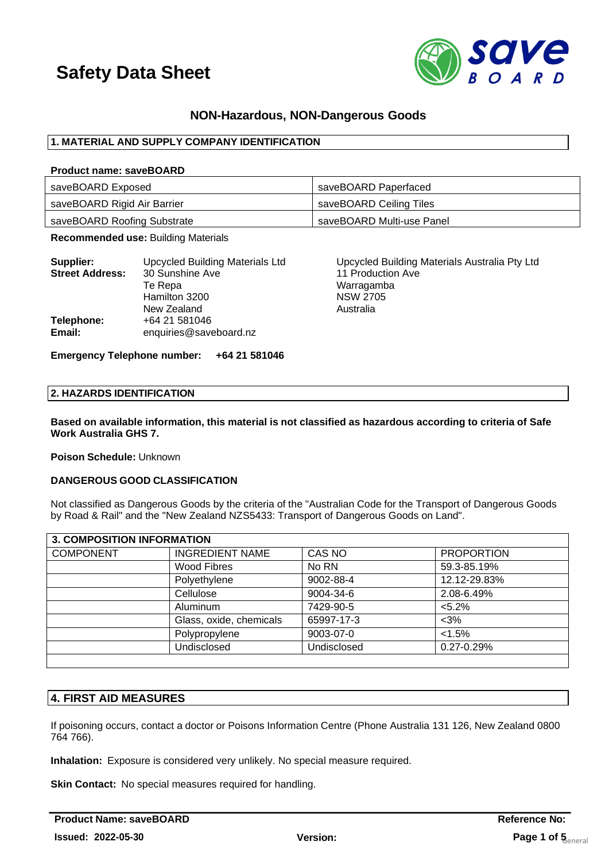

## **NON-Hazardous, NON-Dangerous Goods**

## **1. MATERIAL AND SUPPLY COMPANY IDENTIFICATION**

#### **Product name: saveBOARD**

| saveBOARD Exposed           | saveBOARD Paperfaced      |
|-----------------------------|---------------------------|
| saveBOARD Rigid Air Barrier | saveBOARD Ceiling Tiles   |
| saveBOARD Roofing Substrate | saveBOARD Multi-use Panel |

**Recommended use:** Building Materials

| Supplier:              | <b>Upcycled Building Materials Ltd</b> |  |
|------------------------|----------------------------------------|--|
| <b>Street Address:</b> | 30 Sunshine Ave                        |  |
|                        | Te Repa                                |  |
|                        | Hamilton 3200                          |  |
|                        | New Zealand                            |  |
| Telephone:             | +64 21 581046                          |  |
| Email:                 | enquiries@saveboard.nz                 |  |

Upcycled Building Materials Australia Pty Ltd **11 Production Ave** Warragamba **NSW 2705** Australia

## **Emergency Telephone number: +64 21 581046**

### **2. HAZARDS IDENTIFICATION**

**Based on available information, this material is not classified as hazardous according to criteria of Safe Work Australia GHS 7.**

**Poison Schedule:** Unknown

## **DANGEROUS GOOD CLASSIFICATION**

Not classified as Dangerous Goods by the criteria of the "Australian Code for the Transport of Dangerous Goods by Road & Rail" and the "New Zealand NZS5433: Transport of Dangerous Goods on Land".

| <b>3. COMPOSITION INFORMATION</b> |                         |             |                   |  |
|-----------------------------------|-------------------------|-------------|-------------------|--|
| <b>COMPONENT</b>                  | <b>INGREDIENT NAME</b>  | CAS NO      | <b>PROPORTION</b> |  |
|                                   | Wood Fibres             | No RN       | 59.3-85.19%       |  |
|                                   | Polyethylene            | 9002-88-4   | 12.12-29.83%      |  |
|                                   | Cellulose               | 9004-34-6   | 2.08-6.49%        |  |
|                                   | <b>Aluminum</b>         | 7429-90-5   | $< 5.2\%$         |  |
|                                   | Glass, oxide, chemicals | 65997-17-3  | $<3\%$            |  |
|                                   | Polypropylene           | 9003-07-0   | < 1.5%            |  |
|                                   | Undisclosed             | Undisclosed | 0.27-0.29%        |  |
|                                   |                         |             |                   |  |

## **4. FIRST AID MEASURES**

If poisoning occurs, contact a doctor or Poisons Information Centre (Phone Australia 131 126, New Zealand 0800 764 766).

**Inhalation:** Exposure is considered very unlikely. No special measure required.

**Skin Contact:** No special measures required for handling.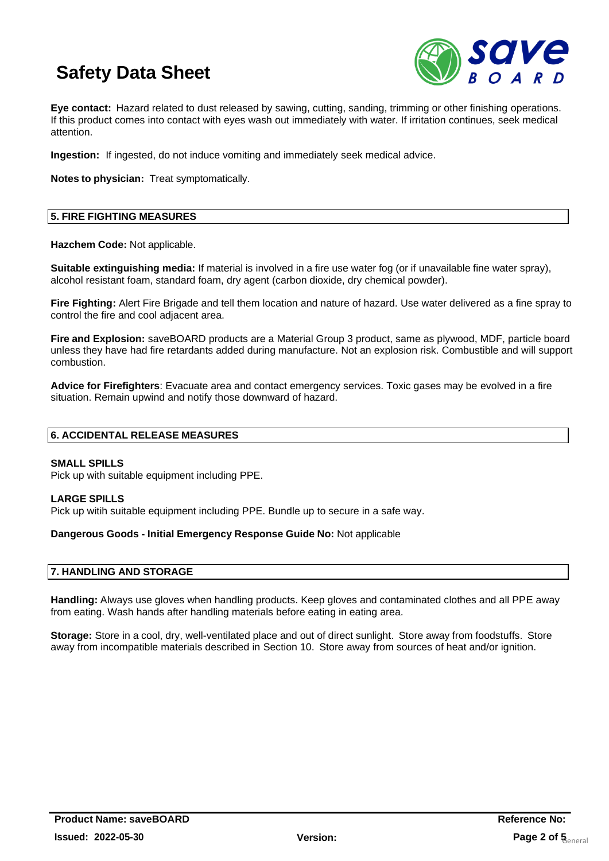

**Eye contact:** Hazard related to dust released by sawing, cutting, sanding, trimming or other finishing operations. If this product comes into contact with eyes wash out immediately with water. If irritation continues, seek medical attention.

**Ingestion:** If ingested, do not induce vomiting and immediately seek medical advice.

**Notes to physician:** Treat symptomatically.

## **5. FIRE FIGHTING MEASURES**

**Hazchem Code:** Not applicable.

**Suitable extinguishing media:** If material is involved in a fire use water fog (or if unavailable fine water spray), alcohol resistant foam, standard foam, dry agent (carbon dioxide, dry chemical powder).

**Fire Fighting:** Alert Fire Brigade and tell them location and nature of hazard. Use water delivered as a fine spray to control the fire and cool adjacent area.

**Fire and Explosion:** saveBOARD products are a Material Group 3 product, same as plywood, MDF, particle board unless they have had fire retardants added during manufacture. Not an explosion risk. Combustible and will support combustion.

**Advice for Firefighters**: Evacuate area and contact emergency services. Toxic gases may be evolved in a fire situation. Remain upwind and notify those downward of hazard.

## **6. ACCIDENTAL RELEASE MEASURES**

### **SMALL SPILLS**

Pick up with suitable equipment including PPE.

### **LARGE SPILLS**

Pick up witih suitable equipment including PPE. Bundle up to secure in a safe way.

### **Dangerous Goods - Initial Emergency Response Guide No:** Not applicable

### **7. HANDLING AND STORAGE**

**Handling:** Always use gloves when handling products. Keep gloves and contaminated clothes and all PPE away from eating. Wash hands after handling materials before eating in eating area.

**Storage:** Store in a cool, dry, well-ventilated place and out of direct sunlight. Store away from foodstuffs. Store away from incompatible materials described in Section 10. Store away from sources of heat and/or ignition.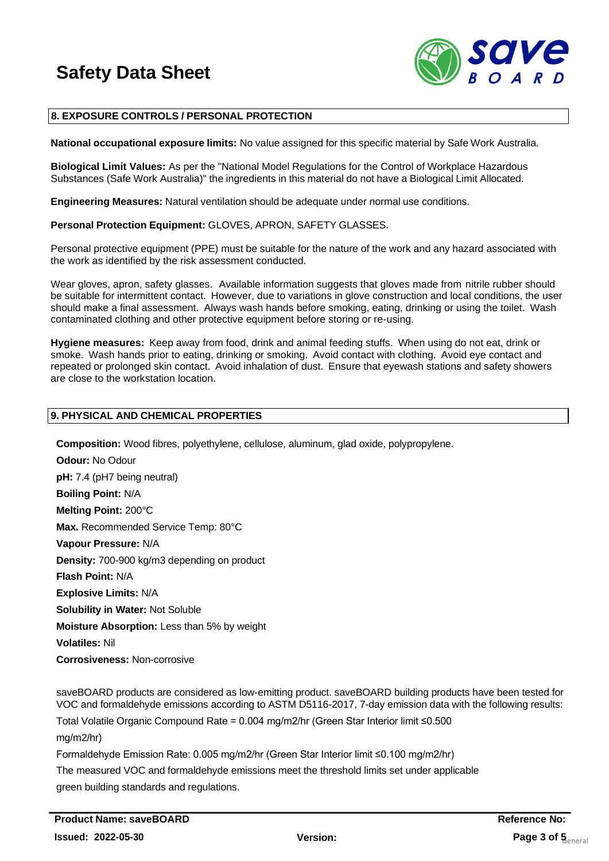

## **8. EXPOSURE CONTROLS / PERSONAL PROTECTION**

**National occupational exposure limits:** No value assigned for this specific material by Safe Work Australia.

**Biological Limit Values:** As per the "National Model Regulations for the Control of Workplace Hazardous Substances (Safe Work Australia)" the ingredients in this material do not have a Biological Limit Allocated.

**Engineering Measures:** Natural ventilation should be adequate under normal use conditions.

**Personal Protection Equipment:** GLOVES, APRON, SAFETY GLASSES.

Personal protective equipment (PPE) must be suitable for the nature of the work and any hazard associated with the work as identified by the risk assessment conducted.

Wear gloves, apron, safety glasses. Available information suggests that gloves made from nitrile rubber should be suitable for intermittent contact. However, due to variations in glove construction and local conditions, the user should make a final assessment. Always wash hands before smoking, eating, drinking or using the toilet. Wash contaminated clothing and other protective equipment before storing or re-using.

**Hygiene measures:** Keep away from food, drink and animal feeding stuffs. When using do not eat, drink or smoke. Wash hands prior to eating, drinking or smoking. Avoid contact with clothing. Avoid eye contact and repeated or prolonged skin contact. Avoid inhalation of dust. Ensure that eyewash stations and safety showers are close to the workstation location.

## **9. PHYSICAL AND CHEMICAL PROPERTIES**

**Composition:** Wood fibres, polyethylene, cellulose, aluminum, glad oxide, polypropylene.

**Odour:** No Odour **pH:** 7.4 (pH7 being neutral) **Boiling Point:** N/A **Melting Point:** 200°C **Max.** Recommended Service Temp: 80°C **Vapour Pressure:** N/A **Density:** 700-900 kg/m3 depending on product **Flash Point:** N/A **Explosive Limits:** N/A **Solubility in Water:** Not Soluble **Moisture Absorption:** Less than 5% by weight **Volatiles:** Nil **Corrosiveness:** Non-corrosive

saveBOARD products are considered as low-emitting product. saveBOARD building products have been tested for VOC and formaldehyde emissions according to ASTM D5116-2017, 7-day emission data with the following results:

Total Volatile Organic Compound Rate = 0.004 mg/m2/hr (Green Star Interior limit ≤0.500 mg/m2/hr)

Formaldehyde Emission Rate: 0.005 mg/m2/hr (Green Star Interior limit ≤0.100 mg/m2/hr)

The measured VOC and formaldehyde emissions meet the threshold limits set under applicable green building standards and regulations.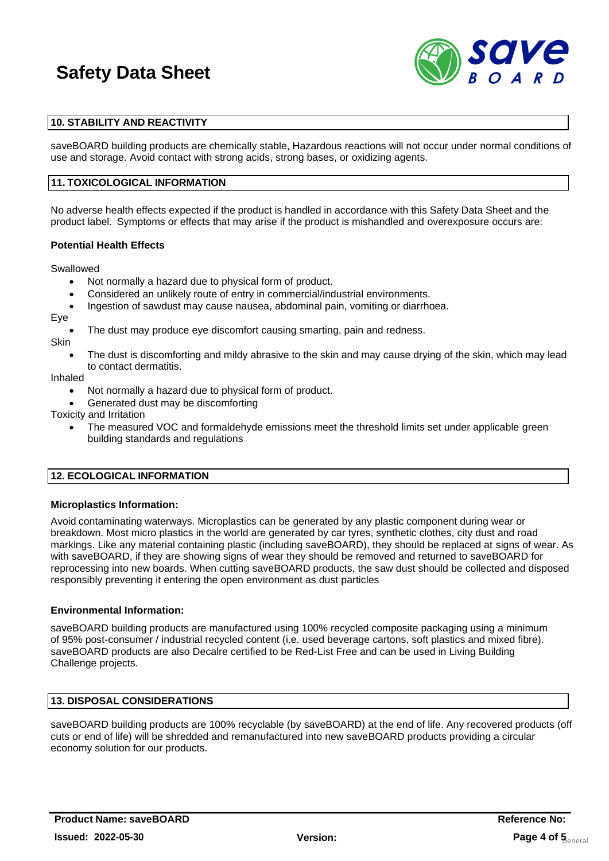

## **10. STABILITY AND REACTIVITY**

saveBOARD building products are chemically stable, Hazardous reactions will not occur under normal conditions of use and storage. Avoid contact with strong acids, strong bases, or oxidizing agents.

### **11. TOXICOLOGICAL INFORMATION**

No adverse health effects expected if the product is handled in accordance with this Safety Data Sheet and the product label. Symptoms or effects that may arise if the product is mishandled and overexposure occurs are:

#### **Potential Health Effects**

Swallowed

- Not normally a hazard due to physical form of product.
- Considered an unlikely route of entry in commercial/industrial environments.
- Ingestion of sawdust may cause nausea, abdominal pain, vomiting or diarrhoea.

Eye

The dust may produce eye discomfort causing smarting, pain and redness.

**Skin** 

The dust is discomforting and mildy abrasive to the skin and may cause drying of the skin, which may lead to contact dermatitis.

Inhaled

- Not normally a hazard due to physical form of product.
- Generated dust may be discomforting

Toxicity and Irritation

• The measured VOC and formaldehyde emissions meet the threshold limits set under applicable green building standards and regulations

### **12. ECOLOGICAL INFORMATION**

#### **Microplastics Information:**

Avoid contaminating waterways. Microplastics can be generated by any plastic component during wear or breakdown. Most micro plastics in the world are generated by car tyres, synthetic clothes, city dust and road markings. Like any material containing plastic (including saveBOARD), they should be replaced at signs of wear. As with saveBOARD, if they are showing signs of wear they should be removed and returned to saveBOARD for reprocessing into new boards. When cutting saveBOARD products, the saw dust should be collected and disposed responsibly preventing it entering the open environment as dust particles

### **Environmental Information:**

saveBOARD building products are manufactured using 100% recycled composite packaging using a minimum of 95% post-consumer / industrial recycled content (i.e. used beverage cartons, soft plastics and mixed fibre). saveBOARD products are also Decalre certified to be Red-List Free and can be used in Living Building Challenge projects.

## **13. DISPOSAL CONSIDERATIONS**

saveBOARD building products are 100% recyclable (by saveBOARD) at the end of life. Any recovered products (off cuts or end of life) will be shredded and remanufactured into new saveBOARD products providing a circular economy solution for our products.